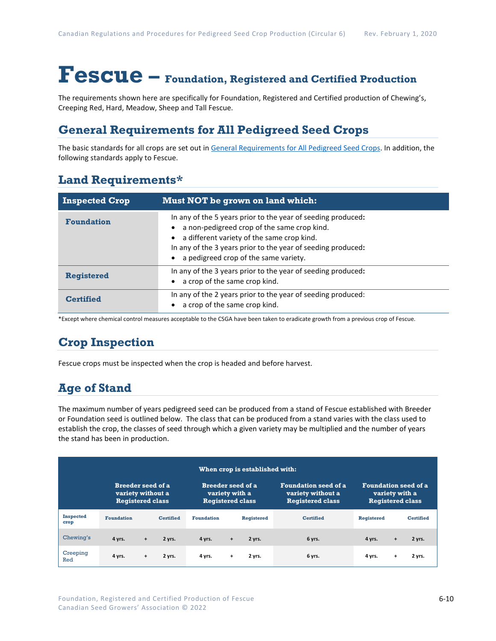# **Fescue – Foundation, Registered and Certified Production**

The requirements shown here are specifically for Foundation, Registered and Certified production of Chewing's, Creeping Red, Hard, Meadow, Sheep and Tall Fescue.

### **General Requirements for All Pedigreed Seed Crops**

The basic standards for all crops are set out i[n General Requirements for All Pedigreed Seed](https://seedgrowers.ca/wp-content/uploads/2020/01/GENERAL-REQUIREMENTS-ALL-CROPS_EN.pdf) Crops. In addition, the following standards apply to Fescue.

### **Land Requirements\***

| <b>Inspected Crop</b> | Must NOT be grown on land which:                                                                                                                                                                                                                                   |
|-----------------------|--------------------------------------------------------------------------------------------------------------------------------------------------------------------------------------------------------------------------------------------------------------------|
| <b>Foundation</b>     | In any of the 5 years prior to the year of seeding produced:<br>a non-pedigreed crop of the same crop kind.<br>a different variety of the same crop kind.<br>In any of the 3 years prior to the year of seeding produced:<br>a pedigreed crop of the same variety. |
| <b>Registered</b>     | In any of the 3 years prior to the year of seeding produced:<br>a crop of the same crop kind.                                                                                                                                                                      |
| <b>Certified</b>      | In any of the 2 years prior to the year of seeding produced:<br>a crop of the same crop kind.                                                                                                                                                                      |

\*Except where chemical control measures acceptable to the CSGA have been taken to eradicate growth from a previous crop of Fescue.

## **Crop Inspection**

Fescue crops must be inspected when the crop is headed and before harvest.

## **Age of Stand**

The maximum number of years pedigreed seed can be produced from a stand of Fescue established with Breeder or Foundation seed is outlined below. The class that can be produced from a stand varies with the class used to establish the crop, the classes of seed through which a given variety may be multiplied and the number of years the stand has been in production.

| When crop is established with: |                                                                          |           |                  |                                                                       |           |                   |                                                                             |                                                                          |           |                  |
|--------------------------------|--------------------------------------------------------------------------|-----------|------------------|-----------------------------------------------------------------------|-----------|-------------------|-----------------------------------------------------------------------------|--------------------------------------------------------------------------|-----------|------------------|
|                                | <b>Breeder seed of a</b><br>variety without a<br><b>Registered class</b> |           |                  | <b>Breeder seed of a</b><br>variety with a<br><b>Registered class</b> |           |                   | <b>Foundation seed of a</b><br>variety without a<br><b>Registered class</b> | <b>Foundation seed of a</b><br>variety with a<br><b>Registered class</b> |           |                  |
| <b>Inspected</b><br>crop       | <b>Foundation</b>                                                        |           | <b>Certified</b> | <b>Foundation</b>                                                     |           | <b>Registered</b> | <b>Certified</b>                                                            | <b>Registered</b>                                                        |           | <b>Certified</b> |
| Chewing's                      | 4 yrs.                                                                   | $\ddot{}$ | 2 yrs.           | 4 yrs.                                                                | $\ddot{}$ | 2 yrs.            | 6 yrs.                                                                      | 4 yrs.                                                                   | $\ddot{}$ | 2 yrs.           |
| Creeping<br>Red                | 4 yrs.                                                                   | $\ddot{}$ | 2 yrs.           | 4 yrs.                                                                | $+$       | 2 yrs.            | 6 yrs.                                                                      | 4 yrs.                                                                   | +         | 2 yrs.           |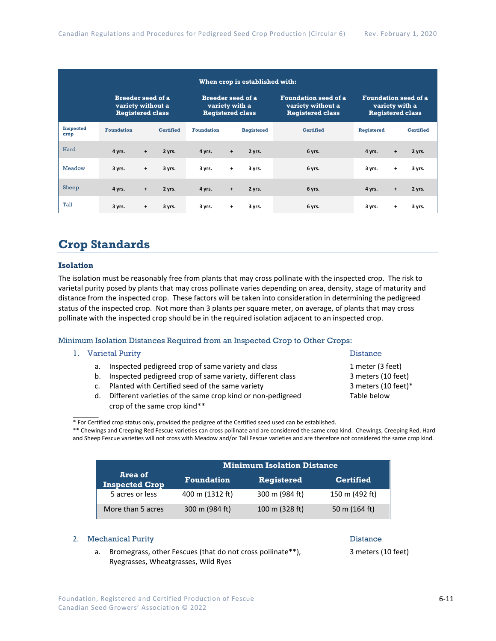| When crop is established with: |                                                                          |           |                  |                                                                       |           |                   |                                                                                                                                                         |                   |           |                  |
|--------------------------------|--------------------------------------------------------------------------|-----------|------------------|-----------------------------------------------------------------------|-----------|-------------------|---------------------------------------------------------------------------------------------------------------------------------------------------------|-------------------|-----------|------------------|
|                                | <b>Breeder seed of a</b><br>variety without a<br><b>Registered class</b> |           |                  | <b>Breeder seed of a</b><br>variety with a<br><b>Registered class</b> |           |                   | <b>Foundation seed of a</b><br><b>Foundation seed of a</b><br>variety without a<br>variety with a<br><b>Registered class</b><br><b>Registered class</b> |                   |           |                  |
| <b>Inspected</b><br>crop       | <b>Foundation</b>                                                        |           | <b>Certified</b> | <b>Foundation</b>                                                     |           | <b>Registered</b> | <b>Certified</b>                                                                                                                                        | <b>Registered</b> |           | <b>Certified</b> |
| Hard                           | 4 yrs.                                                                   | $\ddot{}$ | 2 yrs.           | 4 yrs.                                                                | $\ddot{}$ | 2 yrs.            | 6 yrs.                                                                                                                                                  | 4 yrs.            | $\ddot{}$ | 2 yrs.           |
| Meadow                         | 3 yrs.                                                                   | $\ddot{}$ | 3 yrs.           | 3 yrs.                                                                | $\ddot{}$ | 3 yrs.            | 6 yrs.                                                                                                                                                  | 3 yrs.            | +         | 3 yrs.           |
| Sheep                          | 4 yrs.                                                                   | $\ddot{}$ | 2 yrs.           | 4 yrs.                                                                | $\ddot{}$ | 2 yrs.            | 6 yrs.                                                                                                                                                  | 4 yrs.            | $\ddot{}$ | 2 yrs.           |
| Tall                           | 3 yrs.                                                                   | $\ddot{}$ | 3 yrs.           | 3 yrs.                                                                | $\ddot{}$ | 3 yrs.            | 6 yrs.                                                                                                                                                  | 3 yrs.            | +         | 3 yrs.           |

## **Crop Standards**

#### **Isolation**

The isolation must be reasonably free from plants that may cross pollinate with the inspected crop. The risk to varietal purity posed by plants that may cross pollinate varies depending on area, density, stage of maturity and distance from the inspected crop. These factors will be taken into consideration in determining the pedigreed status of the inspected crop. Not more than 3 plants per square meter, on average, of plants that may cross pollinate with the inspected crop should be in the required isolation adjacent to an inspected crop.

#### Minimum Isolation Distances Required from an Inspected Crop to Other Crops:

#### 1. Varietal Purity **Distance**

 $\overline{\phantom{a}}$ 

- a. Inspected pedigreed crop of same variety and class 1 meter (3 feet)
- b. Inspected pedigreed crop of same variety, different class 3 meters (10 feet)
- c. Planted with Certified seed of the same variety 3 meters (10 feet)\*
- d. Different varieties of the same crop kind or non-pedigreed Table below crop of the same crop kind\*\*

\*\* Chewings and Creeping Red Fescue varieties can cross pollinate and are considered the same crop kind. Chewings, Creeping Red, Hard and Sheep Fescue varieties will not cross with Meadow and/or Tall Fescue varieties and are therefore not considered the same crop kind.

|                                  | <b>Minimum Isolation Distance</b> |                   |                  |  |  |  |  |
|----------------------------------|-----------------------------------|-------------------|------------------|--|--|--|--|
| Area of<br><b>Inspected Crop</b> | <b>Foundation</b>                 | <b>Registered</b> | <b>Certified</b> |  |  |  |  |
| 5 acres or less                  | 400 m (1312 ft)                   | 300 m (984 ft)    | 150 m (492 ft)   |  |  |  |  |
| More than 5 acres                | 300 m (984 ft)                    | 100 m (328 ft)    | 50 m $(164 ft)$  |  |  |  |  |

#### 2. Mechanical Purity **Distance** 2. **Mechanical Purity**

### a. Bromegrass, other Fescues (that do not cross pollinate\*\*), 3 meters (10 feet) Ryegrasses, Wheatgrasses, Wild Ryes

<sup>\*</sup> For Certified crop status only, provided the pedigree of the Certified seed used can be established.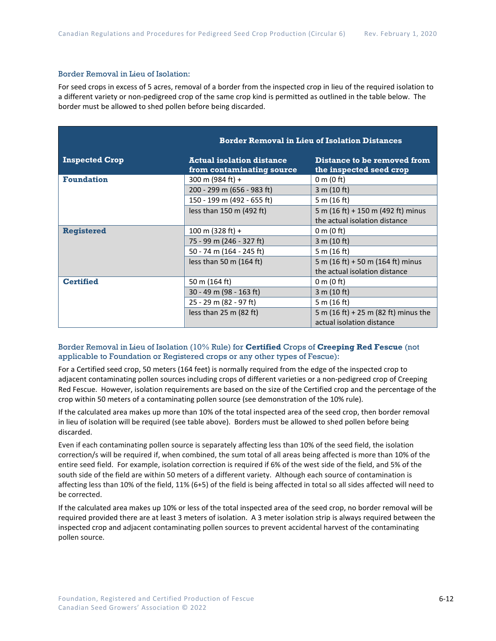#### Border Removal in Lieu of Isolation:

For seed crops in excess of 5 acres, removal of a border from the inspected crop in lieu of the required isolation to a different variety or non-pedigreed crop of the same crop kind is permitted as outlined in the table below. The border must be allowed to shed pollen before being discarded.

|                       | <b>Border Removal in Lieu of Isolation Distances</b>          |                                                                   |  |  |  |  |  |
|-----------------------|---------------------------------------------------------------|-------------------------------------------------------------------|--|--|--|--|--|
| <b>Inspected Crop</b> | <b>Actual isolation distance</b><br>from contaminating source | Distance to be removed from<br>the inspected seed crop            |  |  |  |  |  |
| <b>Foundation</b>     | 300 m (984 ft) +                                              | $0 \text{ m}$ (0 ft)                                              |  |  |  |  |  |
|                       | 200 - 299 m (656 - 983 ft)                                    | 3 m (10 ft)                                                       |  |  |  |  |  |
|                       | 150 - 199 m (492 - 655 ft)                                    | 5 m (16 ft)                                                       |  |  |  |  |  |
|                       | less than $150$ m (492 ft)                                    | 5 m (16 ft) + 150 m (492 ft) minus                                |  |  |  |  |  |
|                       |                                                               | the actual isolation distance                                     |  |  |  |  |  |
| <b>Registered</b>     | $100 \text{ m}$ (328 ft) +                                    | 0 m $(0 \text{ ft})$                                              |  |  |  |  |  |
|                       | 75 - 99 m (246 - 327 ft)                                      | 3 m (10 ft)                                                       |  |  |  |  |  |
|                       | 50 - 74 m (164 - 245 ft)                                      | 5 m (16 ft)                                                       |  |  |  |  |  |
|                       | less than 50 m $(164 ft)$                                     | 5 m (16 ft) + 50 m (164 ft) minus                                 |  |  |  |  |  |
|                       |                                                               | the actual isolation distance                                     |  |  |  |  |  |
| <b>Certified</b>      | 50 m (164 ft)                                                 | 0 m (0 ft)                                                        |  |  |  |  |  |
|                       | 30 - 49 m (98 - 163 ft)                                       | 3 m (10 ft)                                                       |  |  |  |  |  |
|                       | 25 - 29 m (82 - 97 ft)                                        | 5 m (16 ft)                                                       |  |  |  |  |  |
|                       | less than $25 \text{ m}$ (82 ft)                              | 5 m (16 ft) + 25 m (82 ft) minus the<br>actual isolation distance |  |  |  |  |  |

Border Removal in Lieu of Isolation (10% Rule) for **Certified** Crops of **Creeping Red Fescue** (not applicable to Foundation or Registered crops or any other types of Fescue):

For a Certified seed crop, 50 meters (164 feet) is normally required from the edge of the inspected crop to adjacent contaminating pollen sources including crops of different varieties or a non-pedigreed crop of Creeping Red Fescue. However, isolation requirements are based on the size of the Certified crop and the percentage of the crop within 50 meters of a contaminating pollen source (see demonstration of the 10% rule).

If the calculated area makes up more than 10% of the total inspected area of the seed crop, then border removal in lieu of isolation will be required (see table above). Borders must be allowed to shed pollen before being discarded.

Even if each contaminating pollen source is separately affecting less than 10% of the seed field, the isolation correction/s will be required if, when combined, the sum total of all areas being affected is more than 10% of the entire seed field. For example, isolation correction is required if 6% of the west side of the field, and 5% of the south side of the field are within 50 meters of a different variety. Although each source of contamination is affecting less than 10% of the field, 11% (6+5) of the field is being affected in total so all sides affected will need to be corrected.

If the calculated area makes up 10% or less of the total inspected area of the seed crop, no border removal will be required provided there are at least 3 meters of isolation. A 3 meter isolation strip is always required between the inspected crop and adjacent contaminating pollen sources to prevent accidental harvest of the contaminating pollen source.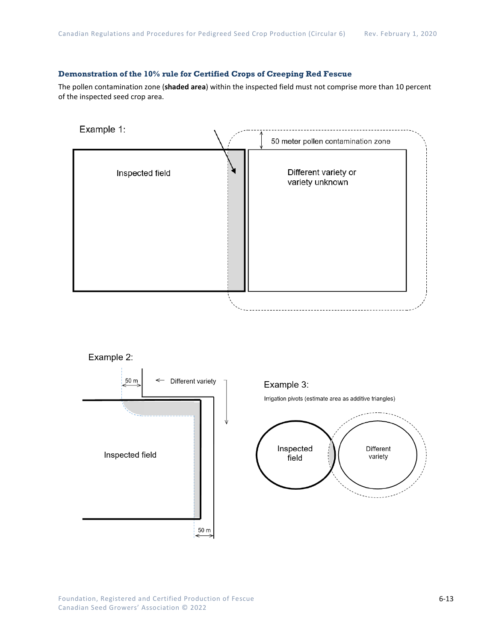### **Demonstration of the 10% rule for Certified Crops of Creeping Red Fescue**

The pollen contamination zone (**shaded area**) within the inspected field must not comprise more than 10 percent of the inspected seed crop area.